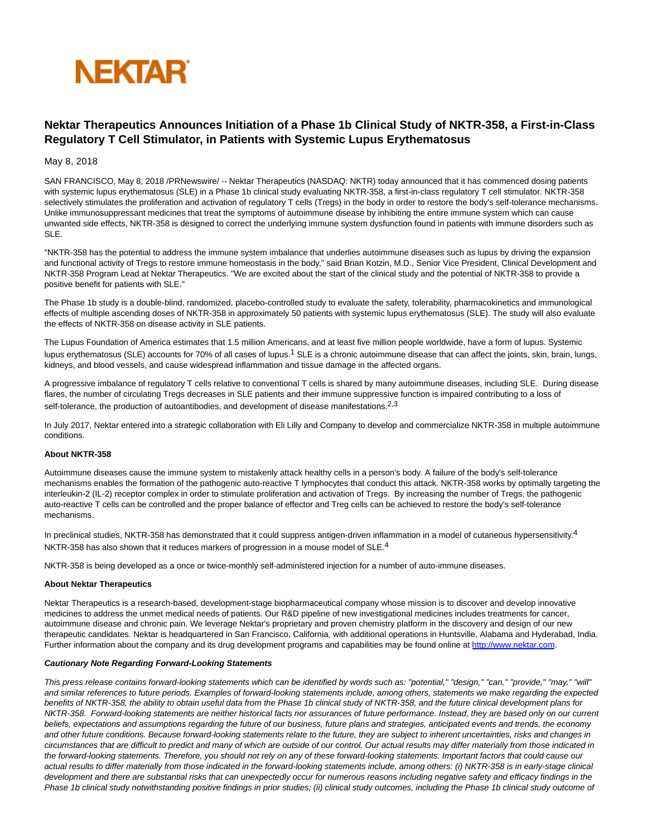

# **Nektar Therapeutics Announces Initiation of a Phase 1b Clinical Study of NKTR-358, a First-in-Class Regulatory T Cell Stimulator, in Patients with Systemic Lupus Erythematosus**

# May 8, 2018

SAN FRANCISCO, May 8, 2018 /PRNewswire/ -- Nektar Therapeutics (NASDAQ: NKTR) today announced that it has commenced dosing patients with systemic lupus erythematosus (SLE) in a Phase 1b clinical study evaluating NKTR-358, a first-in-class regulatory T cell stimulator. NKTR-358 selectively stimulates the proliferation and activation of regulatory T cells (Tregs) in the body in order to restore the body's self-tolerance mechanisms. Unlike immunosuppressant medicines that treat the symptoms of autoimmune disease by inhibiting the entire immune system which can cause unwanted side effects, NKTR-358 is designed to correct the underlying immune system dysfunction found in patients with immune disorders such as SLE.

"NKTR-358 has the potential to address the immune system imbalance that underlies autoimmune diseases such as lupus by driving the expansion and functional activity of Tregs to restore immune homeostasis in the body," said Brian Kotzin, M.D., Senior Vice President, Clinical Development and NKTR-358 Program Lead at Nektar Therapeutics. "We are excited about the start of the clinical study and the potential of NKTR-358 to provide a positive benefit for patients with SLE."

The Phase 1b study is a double-blind, randomized, placebo-controlled study to evaluate the safety, tolerability, pharmacokinetics and immunological effects of multiple ascending doses of NKTR-358 in approximately 50 patients with systemic lupus erythematosus (SLE). The study will also evaluate the effects of NKTR-358 on disease activity in SLE patients.

The Lupus Foundation of America estimates that 1.5 million Americans, and at least five million people worldwide, have a form of lupus. Systemic lupus erythematosus (SLE) accounts for 70% of all cases of lupus.<sup>1</sup> SLE is a chronic autoimmune disease that can affect the joints, skin, brain, lungs, kidneys, and blood vessels, and cause widespread inflammation and tissue damage in the affected organs.

A progressive imbalance of regulatory T cells relative to conventional T cells is shared by many autoimmune diseases, including SLE. During disease flares, the number of circulating Tregs decreases in SLE patients and their immune suppressive function is impaired contributing to a loss of self-tolerance, the production of autoantibodies, and development of disease manifestations.<sup>2,3</sup>

In July 2017, Nektar entered into a strategic collaboration with Eli Lilly and Company to develop and commercialize NKTR-358 in multiple autoimmune conditions.

### **About NKTR-358**

Autoimmune diseases cause the immune system to mistakenly attack healthy cells in a person's body. A failure of the body's self-tolerance mechanisms enables the formation of the pathogenic auto-reactive T lymphocytes that conduct this attack. NKTR-358 works by optimally targeting the interleukin-2 (IL-2) receptor complex in order to stimulate proliferation and activation of Tregs. By increasing the number of Tregs, the pathogenic auto-reactive T cells can be controlled and the proper balance of effector and Treg cells can be achieved to restore the body's self-tolerance mechanisms.

In preclinical studies, NKTR-358 has demonstrated that it could suppress antigen-driven inflammation in a model of cutaneous hypersensitivity.<sup>4</sup> NKTR-358 has also shown that it reduces markers of progression in a mouse model of SLE.<sup>4</sup>

NKTR-358 is being developed as a once or twice-monthly self-administered injection for a number of auto-immune diseases.

#### **About Nektar Therapeutics**

Nektar Therapeutics is a research-based, development-stage biopharmaceutical company whose mission is to discover and develop innovative medicines to address the unmet medical needs of patients. Our R&D pipeline of new investigational medicines includes treatments for cancer, autoimmune disease and chronic pain. We leverage Nektar's proprietary and proven chemistry platform in the discovery and design of our new therapeutic candidates. Nektar is headquartered in San Francisco, California, with additional operations in Huntsville, Alabama and Hyderabad, India. Further information about the company and its drug development programs and capabilities may be found online at [http://www.nektar.com.](http://www.nektar.com/)

#### **Cautionary Note Regarding Forward-Looking Statements**

This press release contains forward-looking statements which can be identified by words such as: "potential," "design," "can," "provide," "may," "will" and similar references to future periods. Examples of forward-looking statements include, among others, statements we make regarding the expected benefits of NKTR-358, the ability to obtain useful data from the Phase 1b clinical study of NKTR-358, and the future clinical development plans for NKTR-358. Forward-looking statements are neither historical facts nor assurances of future performance. Instead, they are based only on our current beliefs, expectations and assumptions regarding the future of our business, future plans and strategies, anticipated events and trends, the economy and other future conditions. Because forward-looking statements relate to the future, they are subject to inherent uncertainties, risks and changes in circumstances that are difficult to predict and many of which are outside of our control. Our actual results may differ materially from those indicated in the forward-looking statements. Therefore, you should not rely on any of these forward-looking statements. Important factors that could cause our actual results to differ materially from those indicated in the forward-looking statements include, among others: (i) NKTR-358 is in early-stage clinical development and there are substantial risks that can unexpectedly occur for numerous reasons including negative safety and efficacy findings in the Phase 1b clinical study notwithstanding positive findings in prior studies; (ii) clinical study outcomes, including the Phase 1b clinical study outcome of